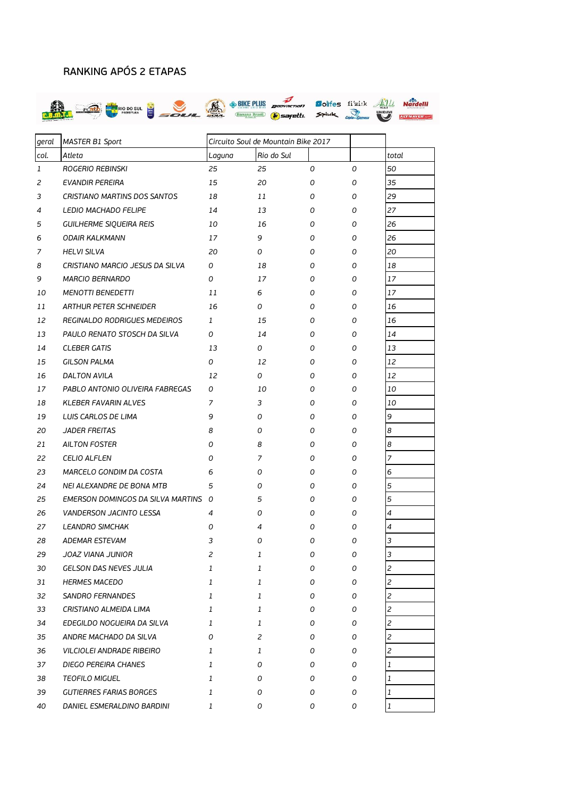## RANKING APÓS 2 ETAPAS



| geral        | <b>MASTER B1 Sport</b>              | Circuito Soul de Mountain Bike 2017 |            |   |   |                |
|--------------|-------------------------------------|-------------------------------------|------------|---|---|----------------|
| col.         | Atleta                              | Laguna                              | Rio do Sul |   |   | total          |
| $\mathbf{1}$ | ROGERIO REBINSKI                    | 25                                  | 25         | 0 | 0 | 50             |
| 2            | <b>EVANDIR PEREIRA</b>              | 15                                  | 20         | 0 | 0 | 35             |
| 3            | CRISTIANO MARTINS DOS SANTOS        | 18                                  | 11         | 0 | 0 | 29             |
| 4            | LEDIO MACHADO FELIPE                | 14                                  | 13         | 0 | 0 | 27             |
| 5            | <b>GUILHERME SIQUEIRA REIS</b>      | 10                                  | 16         | 0 | 0 | 26             |
| 6            | <b>ODAIR KALKMANN</b>               | 17                                  | 9          | 0 | 0 | 26             |
| 7            | <b>HELVI SILVA</b>                  | 20                                  | 0          | 0 | 0 | 20             |
| 8            | CRISTIANO MARCIO JESUS DA SILVA     | 0                                   | 18         | 0 | 0 | 18             |
| 9            | <b>MARCIO BERNARDO</b>              | 0                                   | 17         | 0 | 0 | 17             |
| 10           | <b>MENOTTI BENEDETTI</b>            | 11                                  | 6          | 0 | 0 | 17             |
| 11           | ARTHUR PETER SCHNEIDER              | 16                                  | 0          | 0 | 0 | 16             |
| 12           | REGINALDO RODRIGUES MEDEIROS        | $\mathbf{1}$                        | 15         | 0 | 0 | 16             |
| 13           | PAULO RENATO STOSCH DA SILVA        | 0                                   | 14         | 0 | 0 | 14             |
| 14           | <b>CLEBER GATIS</b>                 | 13                                  | 0          | 0 | 0 | 13             |
| 15           | <b>GILSON PALMA</b>                 | 0                                   | 12         | 0 | 0 | 12             |
| 16           | DALTON AVILA                        | 12                                  | 0          | 0 | 0 | 12             |
| 17           | PABLO ANTONIO OLIVEIRA FABREGAS     | 0                                   | 10         | 0 | 0 | 10             |
| 18           | <b>KLEBER FAVARIN ALVES</b>         | 7                                   | 3          | 0 | 0 | 10             |
| 19           | LUIS CARLOS DE LIMA                 | 9                                   | 0          | 0 | 0 | 9              |
| 20           | <b>JADER FREITAS</b>                | 8                                   | 0          | 0 | 0 | 8              |
| 21           | <b>AILTON FOSTER</b>                | 0                                   | 8          | 0 | 0 | 8              |
| 22           | <b>CELIO ALFLEN</b>                 | 0                                   | 7          | 0 | 0 | 7              |
| 23           | MARCELO GONDIM DA COSTA             | 6                                   | 0          | 0 | 0 | 6              |
| 24           | NEI ALEXANDRE DE BONA MTB           | 5                                   | 0          | 0 | 0 | 5              |
| 25           | EMERSON DOMINGOS DA SILVA MARTINS O |                                     | 5          | 0 | 0 | 5              |
| 26           | <b>VANDERSON JACINTO LESSA</b>      | 4                                   | 0          | 0 | 0 | 4              |
| 27           | <b>LEANDRO SIMCHAK</b>              | 0                                   | 4          | 0 | 0 | 4              |
| 28           | <b>ADEMAR ESTEVAM</b>               | 3                                   | 0          | 0 | 0 | 3              |
| 29           | JOAZ VIANA JUNIOR                   | 2                                   | 1          | 0 | 0 | $\mathbf{z}$   |
| 30           | GELSON DAS NEVES JULIA              | 1                                   | 1          | 0 | 0 | 2              |
| 31           | <b>HERMES MACEDO</b>                | 1                                   | 1          | 0 | 0 | $\overline{c}$ |
| 32           | SANDRO FERNANDES                    | 1                                   | 1          | 0 | 0 | $\overline{c}$ |
| 33           | CRISTIANO ALMEIDA LIMA              | 1                                   | 1          | 0 | 0 | $\overline{c}$ |
| 34           | EDEGILDO NOGUEIRA DA SILVA          | 1                                   | 1          | 0 | 0 | 2              |
| 35           | ANDRE MACHADO DA SILVA              | 0                                   | 2          | 0 | 0 | $\overline{c}$ |
| 36           | VILCIOLEI ANDRADE RIBEIRO           | 1                                   | 1          | 0 | 0 | $\overline{c}$ |
| 37           | DIEGO PEREIRA CHANES                | 1                                   | 0          | 0 | 0 | 1              |
| 38           | TEOFILO MIGUEL                      | 1                                   | 0          | 0 | 0 | 1              |
| 39           | GUTIERRES FARIAS BORGES             | 1                                   | 0          | 0 | 0 | 1              |
| 40           | DANIEL ESMERALDINO BARDINI          | 1                                   | 0          | 0 | 0 | 1              |